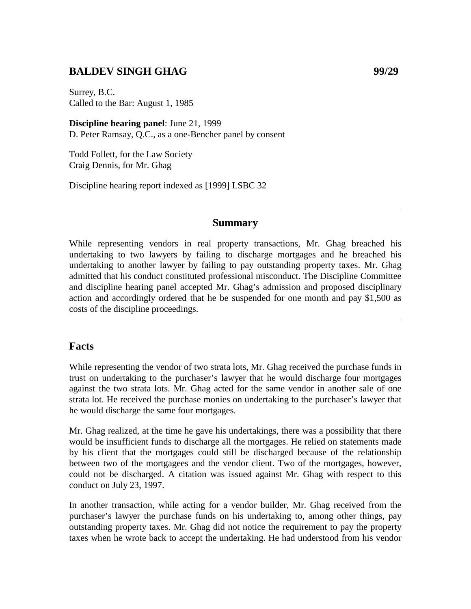## **BALDEV SINGH GHAG 99/29**

Surrey, B.C. Called to the Bar: August 1, 1985

**Discipline hearing panel**: June 21, 1999 D. Peter Ramsay, Q.C., as a one-Bencher panel by consent

Todd Follett, for the Law Society Craig Dennis, for Mr. Ghag

Discipline hearing report indexed as [1999] LSBC 32

## **Summary**

While representing vendors in real property transactions, Mr. Ghag breached his undertaking to two lawyers by failing to discharge mortgages and he breached his undertaking to another lawyer by failing to pay outstanding property taxes. Mr. Ghag admitted that his conduct constituted professional misconduct. The Discipline Committee and discipline hearing panel accepted Mr. Ghag's admission and proposed disciplinary action and accordingly ordered that he be suspended for one month and pay \$1,500 as costs of the discipline proceedings.

## **Facts**

While representing the vendor of two strata lots, Mr. Ghag received the purchase funds in trust on undertaking to the purchaser's lawyer that he would discharge four mortgages against the two strata lots. Mr. Ghag acted for the same vendor in another sale of one strata lot. He received the purchase monies on undertaking to the purchaser's lawyer that he would discharge the same four mortgages.

Mr. Ghag realized, at the time he gave his undertakings, there was a possibility that there would be insufficient funds to discharge all the mortgages. He relied on statements made by his client that the mortgages could still be discharged because of the relationship between two of the mortgagees and the vendor client. Two of the mortgages, however, could not be discharged. A citation was issued against Mr. Ghag with respect to this conduct on July 23, 1997.

In another transaction, while acting for a vendor builder, Mr. Ghag received from the purchaser's lawyer the purchase funds on his undertaking to, among other things, pay outstanding property taxes. Mr. Ghag did not notice the requirement to pay the property taxes when he wrote back to accept the undertaking. He had understood from his vendor